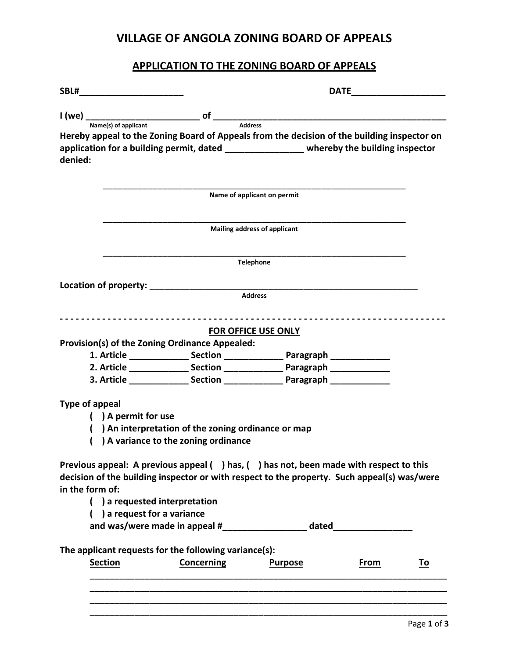### **VILLAGE OF ANGOLA ZONING BOARD OF APPEALS**

#### **APPLICATION TO THE ZONING BOARD OF APPEALS**

|                 |                                |                                                                                             |                                                                                                                                                                                      | <b>DATE Example 20</b> |           |
|-----------------|--------------------------------|---------------------------------------------------------------------------------------------|--------------------------------------------------------------------------------------------------------------------------------------------------------------------------------------|------------------------|-----------|
|                 |                                | $I (we)$ $\frac{1}{Name(s) \text{ of application}}$ of $\frac{1}{Address}$                  |                                                                                                                                                                                      |                        |           |
|                 |                                |                                                                                             |                                                                                                                                                                                      |                        |           |
|                 |                                |                                                                                             | Hereby appeal to the Zoning Board of Appeals from the decision of the building inspector on                                                                                          |                        |           |
| denied:         |                                |                                                                                             | application for a building permit, dated ________________ whereby the building inspector                                                                                             |                        |           |
|                 |                                |                                                                                             | Name of applicant on permit                                                                                                                                                          |                        |           |
|                 |                                |                                                                                             | <b>Mailing address of applicant</b>                                                                                                                                                  |                        |           |
|                 |                                |                                                                                             | Telephone                                                                                                                                                                            |                        |           |
|                 |                                |                                                                                             |                                                                                                                                                                                      |                        |           |
|                 |                                |                                                                                             | <b>Address</b>                                                                                                                                                                       |                        |           |
|                 |                                |                                                                                             |                                                                                                                                                                                      |                        |           |
|                 |                                |                                                                                             |                                                                                                                                                                                      |                        |           |
|                 |                                |                                                                                             | <b>FOR OFFICE USE ONLY</b>                                                                                                                                                           |                        |           |
|                 |                                | Provision(s) of the Zoning Ordinance Appealed:                                              |                                                                                                                                                                                      |                        |           |
|                 |                                |                                                                                             | 1. Article ________________ Section ___________________ Paragraph ______________                                                                                                     |                        |           |
|                 |                                |                                                                                             | 2. Article ________________ Section ___________________ Paragraph ______________                                                                                                     |                        |           |
|                 |                                |                                                                                             |                                                                                                                                                                                      |                        |           |
| Type of appeal  | ( ) A permit for use           | () An interpretation of the zoning ordinance or map<br>) A variance to the zoning ordinance |                                                                                                                                                                                      |                        |           |
| in the form of: |                                |                                                                                             | Previous appeal: A previous appeal () has, () has not, been made with respect to this<br>decision of the building inspector or with respect to the property. Such appeal(s) was/were |                        |           |
|                 | ( ) a requested interpretation |                                                                                             |                                                                                                                                                                                      |                        |           |
|                 | ( ) a request for a variance   |                                                                                             |                                                                                                                                                                                      |                        |           |
|                 |                                |                                                                                             | and was/were made in appeal #________________________ dated_____________________                                                                                                     |                        |           |
|                 |                                |                                                                                             |                                                                                                                                                                                      |                        |           |
|                 |                                | The applicant requests for the following variance(s):                                       |                                                                                                                                                                                      |                        |           |
| <b>Section</b>  |                                | <b>Concerning</b>                                                                           | <b>Purpose</b>                                                                                                                                                                       | <u>From</u>            | <u>To</u> |
|                 |                                |                                                                                             |                                                                                                                                                                                      |                        |           |
|                 |                                |                                                                                             |                                                                                                                                                                                      |                        |           |
|                 |                                |                                                                                             |                                                                                                                                                                                      |                        |           |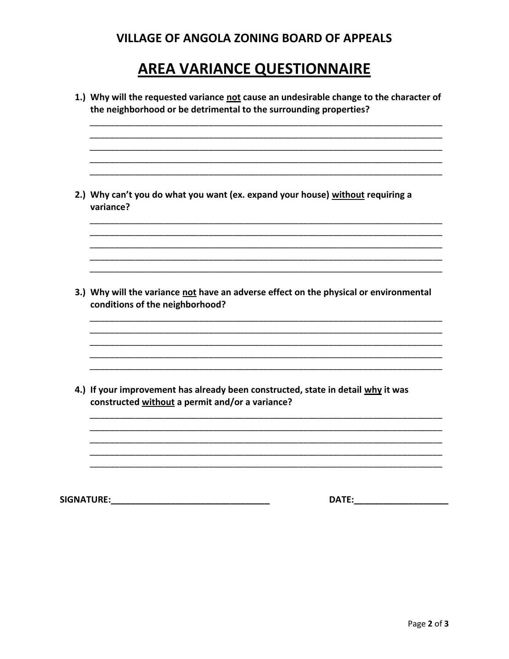### **VILLAGE OF ANGOLA ZONING BOARD OF APPEALS**

# **AREA VARIANCE QUESTIONNAIRE**

| 1.) Why will the requested variance not cause an undesirable change to the character of<br>the neighborhood or be detrimental to the surrounding properties? |
|--------------------------------------------------------------------------------------------------------------------------------------------------------------|
| 2.) Why can't you do what you want (ex. expand your house) without requiring a<br>variance?                                                                  |
| 3.) Why will the variance not have an adverse effect on the physical or environmental<br>conditions of the neighborhood?                                     |
| 4.) If your improvement has already been constructed, state in detail why it was<br>constructed without a permit and/or a variance?                          |
| <b>SIGNATURE:</b><br>DATE:                                                                                                                                   |